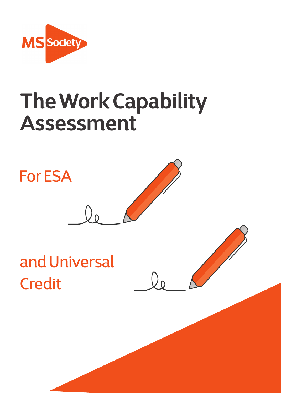

# **The Work Capability Assessment**

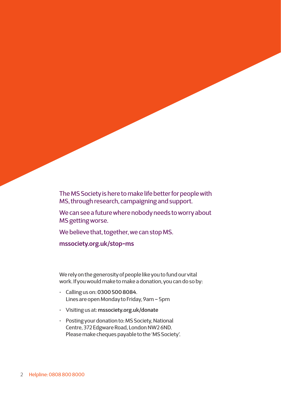The MS Society is here to make life better for people with MS, through research, campaigning and support.

We can see a future where nobody needs to worry about MS getting worse.

We believe that, together, we can stop MS.

**[mssociety.org.uk/stop-ms](https://www.mssociety.org.uk/stop-ms)**

We rely on the generosity of people like you to fund our vital work. If you would make to make a donation, you can do so by:

- Calling us on: **0300 500 8084**. Lines are open Monday to Friday, 9am – 5pm
- Visiting us at: **[mssociety.org.uk/donate](https://www.mssociety.org.uk/donate)**
- Posting your donation to: MS Society, National Centre, 372 Edgware Road, London NW2 6ND. Please make cheques payable to the 'MS Society'.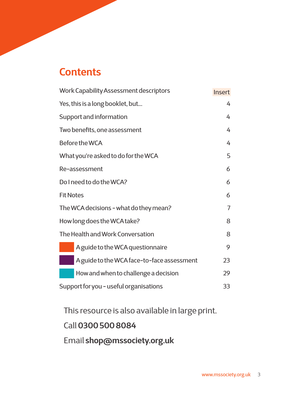### **Contents**

| Work Capability Assessment descriptors     | <b>Insert</b>  |
|--------------------------------------------|----------------|
| Yes, this is a long booklet, but           | 4              |
| Support and information                    | 4              |
| Two benefits, one assessment               | 4              |
| Before the WCA                             | 4              |
| What you're asked to do for the WCA        | 5              |
| Re-assessment                              | 6              |
| Do I need to do the WCA?                   | 6              |
| <b>Fit Notes</b>                           | 6              |
| The WCA decisions - what do they mean?     | $\overline{7}$ |
| How long does the WCA take?                | 8              |
| The Health and Work Conversation           | 8              |
| A guide to the WCA questionnaire           | 9              |
| A guide to the WCA face-to-face assessment | 23             |
| How and when to challenge a decision       | 29             |
| Support for you - useful organisations     | 33             |

This resource is also available in large print.

### Call **0300 500 8084**

Email **[shop@mssociety.org.uk](mailto:shop%40mssociety.org.uk?subject=Large%20print%20publication)**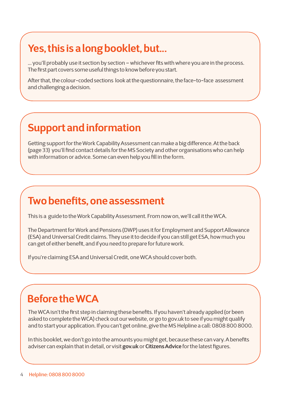## **Yes, this is a long booklet, but...**

... you'll probably use it section by section – whichever fits with where you are in the process. The first part covers some useful things to know before you start.

After that, the colour-coded sections look at the questionnaire, the face-to-face assessment and challenging a decision.

### **Support and information**

Getting support for the Work Capability Assessment can make a big difference. At the back (page 33) you'll find contact details for the MS Society and other organisations who can help with information or advice. Some can even help you fill in the form.

### **Two benefits, one assessment**

This is a guide to the Work Capability Assessment. From now on, we'll call it the WCA.

The Department for Work and Pensions (DWP) uses it for Employment and Support Allowance (ESA) and Universal Credit claims. They use it to decide if you can still get ESA, how much you can get of either benefit, and if you need to prepare for future work.

If you're claiming ESA and Universal Credit, one WCA should cover both.

### **Before the WCA**

The WCA isn't the first step in claiming these benefits. If you haven't already applied (or been asked to complete the WCA) check out our website, or go to gov.uk to see if you might qualify and to start your application. If you can't get online, give the MS Helpline a call: 0808 800 8000.

In this booklet, we don't go into the amounts you might get, because these can vary. A benefits adviser can explain that in detail, or visit **[gov.uk](http://gov.uk)** or **[Citizens Advice](https://www.citizensadvice.org.uk)** for the latest figures.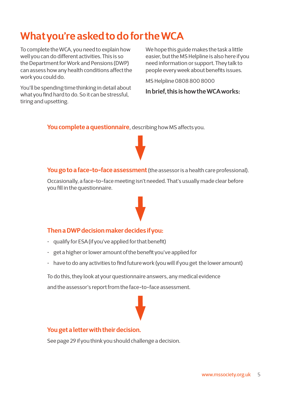## **What you're asked to do for the WCA**

To complete the WCA, you need to explain how well you can do different activities. This is so the Department for Work and Pensions (DWP) can assess how any health conditions affect the work you could do.

You'll be spending time thinking in detail about what you find hard to do. So it can be stressful, tiring and upsetting.

We hope this guide makes the task a little easier, but the MS Helpline is also here if you need information or support. They talk to people every week about benefits issues.

MS Helpline 0808 800 8000

**In brief, this is how the WCA works:** 

**You complete a questionnaire**, describing how MS affects you.

### **You go to a face-to-face assessment**(the assessor is a health care professional).

Occasionally, a face-to-face meeting isn't needed. That's usually made clear before you fill in the questionnaire.

### **Then a DWP decision maker decides if you:**

- qualify for ESA (if you've applied for that benefit)
- get a higher or lower amount of the benefit you've applied for
- have to do any activities to find future work (you will if you get the lower amount)

To do this, they look at your questionnaire answers, any medical evidence and the assessor's report from the face-to-face assessment.



### **You get a letter with their decision.**

See page 29 if you think you should challenge a decision.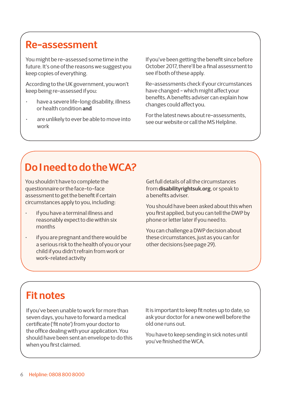### **Re-assessment**

You might be re-assessed some time in the future. It's one of the reasons we suggest you keep copies of everything.

According to the UK government, you won't keep being re-assessed if you:

- have a severe life-long disability, illness or health condition **and**
- are unlikely to ever be able to move into work

If you've been getting the benefit since before October 2017, there'll be a final assessment to see if both of these apply.

Re-assessments check if your circumstances have changed - which might affect your benefits. A benefits adviser can explain how changes could affect you.

For the latest news about re-assessments, see our website or call the MS Helpline.

## **Do I need to do the WCA?**

You shouldn't have to complete the questionnaire or the face-to-face assessment to get the benefit if certain circumstances apply to you, including:

- if you have a terminal illness and reasonably expect to die within six months
- if you are pregnant and there would be a serious risk to the health of you or your child if you didn't refrain from work or work-related activity

Get full details of all the circumstances from **[disabilityrightsuk.org](http://disabilityrightsuk.org)**, or speak to a benefits adviser.

You should have been asked about this when you first applied, but you can tell the DWP by phone or letter later if you need to.

You can challenge a DWP decision about these circumstances, just as you can for other decisions (see page 29).

### **Fit notes**

If you've been unable to work for more than seven days, you have to forward a medical certificate ('fit note') from your doctor to the office dealing with your application. You should have been sent an envelope to do this when you first claimed.

It is important to keep fit notes up to date, so ask your doctor for a new one well before the old one runs out.

You have to keep sending in sick notes until you've finished the WCA.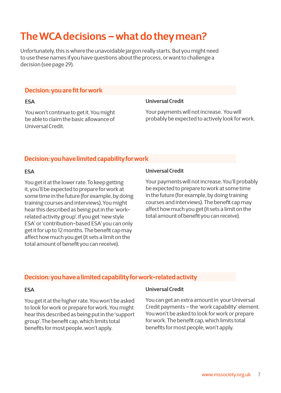## **The WCA decisions – what do they mean?**

Unfortunately, this is where the unavoidable jargon really starts. But you might need to use these names if you have questions about the process, or want to challenge a decision (see page 29).

### **Decision: you are fit for work**

#### **ESA**

You won't continue to get it. You might be able to claim the basic allowance of Universal Credit.

### **Universal Credit**

Your payments will not increase. You will probably be expected to actively look for work.

### **Decision: you have limited capability for work**

### **ESA**

You get it at the lower rate. To keep getting it, you'll be expected to prepare for work at some time in the future (for example, by doing training courses and interviews). You might hear this described as being put in the 'workrelated activity group'. If you get 'new style ESA' or 'contribution-based ESA' you can only get it for up to 12 months. The benefit cap may affect how much you get (it sets a limit on the total amount of benefit you can receive).

### **Universal Credit**

Your payments will not increase. You'll probably be expected to prepare to work at some time in the future (for example, by doing training courses and interviews). The benefit cap may affect how much you get (it sets a limit on the total amount of benefit you can receive).

### **Decision: you have a limited capability for work-related activity**

### **ESA**

You get it at the higher rate. You won't be asked to look for work or prepare for work. You might hear this described as being put in the 'support group'. The benefit cap, which limits total benefits for most people, won't apply.

#### **Universal Credit**

You can get an extra amount in your Universal Credit payments – the 'work capability' element. You won't be asked to look for work or prepare for work. The benefit cap, which limits total benefits for most people, won't apply.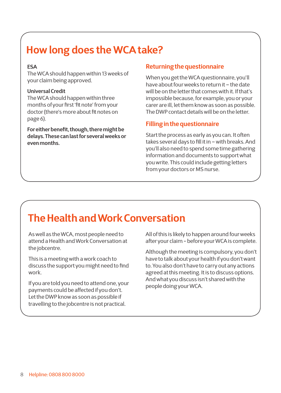## **How long does the WCA take?**

### **ESA**

The WCA should happen within 13 weeks of your claim being approved.

### **Universal Credit**

The WCA should happen within three months of your first 'fit note' from your doctor (there's more about fit notes on page 6).

**For either benefit, though, there might be delays. These can last for several weeks or even months.** 

### **Returning the questionnaire**

When you get the WCA questionnaire, you'll have about four weeks to return it – the date will be on the letter that comes with it. If that's impossible because, for example, you or your carer are ill, let them know as soon as possible. The DWP contact details will be on the letter.

### **Filling in the questionnaire**

Start the process as early as you can. It often takes several days to fill it in – with breaks. And you'll also need to spend some time gathering information and documents to support what you write. This could include getting letters from your doctors or MS nurse.

## **The Health and Work Conversation**

As well as the WCA, most people need to attend a Health and Work Conversation at the jobcentre.

This is a meeting with a work coach to discuss the support you might need to find work.

If you are told you need to attend one, your payments could be affected if you don't. Let the DWP know as soon as possible if travelling to the jobcentre is not practical.

All of this is likely to happen around four weeks after your claim - before your WCA is complete.

Although the meeting is compulsory, you don't have to talk about your health if you don't want to. You also don't have to carry out any actions agreed at this meeting. It is to discuss options. And what you discuss isn't shared with the people doing your WCA.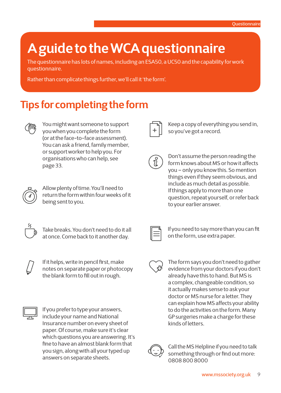## **A guide to the WCA questionnaire**

The questionnaire has lots of names, including an ESA50, a UC50 and the capability for work questionnaire.

Rather than complicate things further, we'll call it 'the form'.

### **Tips for completing the form**



You might want someone to support you when you complete the form (or at the face-to-face assessment). You can ask a friend, family member, or support worker to help you. For organisations who can help, see page 33.



Allow plenty of time. You'll need to return the form within four weeks of it being sent to you.



Take breaks. You don't need to do it all at once. Come back to it another day.



If it helps, write in pencil first, make notes on separate paper or photocopy the blank form to fill out in rough.



If you prefer to type your answers, include your name and National Insurance number on every sheet of paper. Of course, make sure it's clear which questions you are answering. It's fine to have an almost blank form that you sign, along with all your typed up answers on separate sheets.



Keep a copy of everything you send in, so you've got a record.

Don't assume the person reading the form knows about MS or how it affects you – only you know this. So mention things even if they seem obvious, and include as much detail as possible. If things apply to more than one question, repeat yourself, or refer back to your earlier answer.



If you need to say more than you can fit on the form, use extra paper.



The form says you don't need to gather evidence from your doctors if you don't already have this to hand. But MS is a complex, changeable condition, so it actually makes sense to ask your doctor or MS nurse for a letter. They can explain how MS affects your ability to do the activities on the form. Many GP surgeries make a charge for these kinds of letters.



Call the MS Helpline if you need to talk something through or find out more: 0808 800 8000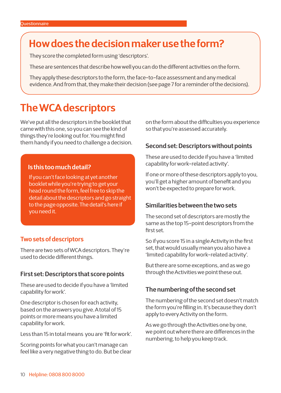### **How does the decision maker use the form?**

They score the completed form using 'descriptors'.

These are sentences that describe how well you can do the different activities on the form.

They apply these descriptors to the form, the face-to-face assessment and any medical evidence. And from that, they make their decision (see page 7 for a reminder of the decisions).

### **The WCA descriptors**

We've put all the descriptors in the booklet that came with this one, so you can see the kind of things they're looking out for. You might find them handy if you need to challenge a decision.

### **Is this too much detail?**

If you can't face looking at yet another booklet while you're trying to get your head round the form, feel free to skip the detail about the descriptors and go straight to the page opposite. The detail's here if you need it.

### **Two sets of descriptors**

There are two sets of WCA descriptors. They're used to decide different things.

### **First set: Descriptors that score points**

These are used to decide if you have a 'limited capability for work'.

One descriptor is chosen for each activity, based on the answers you give. A total of 15 points or more means you have a limited capability for work.

Less than 15 in total means you are 'fit for work'.

Scoring points for what you can't manage can feel like a very negative thing to do. But be clear on the form about the difficulties you experience so that you're assessed accurately.

### **Second set: Descriptors without points**

These are used to decide if you have a 'limited capability for work-related activity'.

If one or more of these descriptors apply to you, you'll get a higher amount of benefit and you won't be expected to prepare for work.

### **Similarities between the two sets**

The second set of descriptors are mostly the same as the top 15-point descriptors from the first set.

So if you score 15 in a single Activity in the first set, that would usually mean you also have a 'limited capability for work-related activity'.

But there are some exceptions, and as we go through the Activities we point these out.

### **The numbering of the second set**

The numbering of the second set doesn't match the form you're filling in. It's because they don't apply to every Activity on the form.

As we go through the Activities one by one, we point out where there are differences in the numbering, to help you keep track.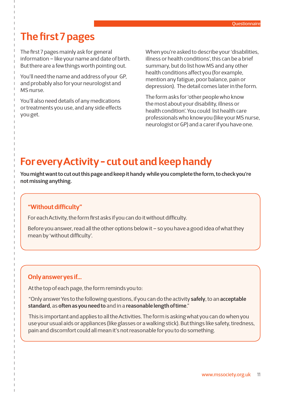### **The first 7 pages**

The first 7 pages mainly ask for general information – like your name and date of birth. But there are a few things worth pointing out.

You'll need the name and address of your GP, and probably also for your neurologist and MS nurse.

You'll also need details of any medications or treatments you use, and any side effects you get.

When you're asked to describe your 'disabilities, illness or health conditions', this can be a brief summary, but do list how MS and any other health conditions affect you (for example, mention any fatigue, poor balance, pain or depression). The detail comes later in the form.

The form asks for 'other people who know the most about your disability, illness or health condition'. You could list health care professionals who know you (like your MS nurse, neurologist or GP) and a carer if you have one.

### **For every Activity - cut out and keep handy**

**You might want to cut out this page and keep it handy while you complete the form, to check you're not missing anything.**

### **"Without difficulty"**

For each Activity, the form first asks if you can do it without difficulty.

Before you answer, read all the other options below it – so you have a good idea of what they mean by 'without difficulty'.

### **Only answer yes if...**

At the top of each page, the form reminds you to:

"Only answer Yes to the following questions, if you can do the activity **safely**, to an **acceptable standard**, as **often as you need to** and in a **reasonable length of time**."

This is important and applies to all the Activities. The form is asking what you can do when you use your usual aids or appliances (like glasses or a walking stick). But things like safety, tiredness, pain and discomfort could all mean it's not reasonable for you to do something.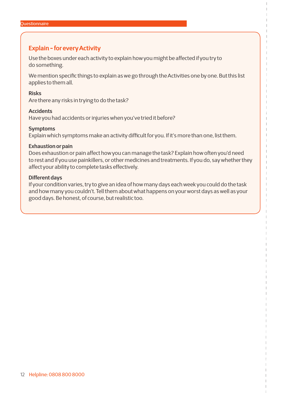### **Explain - for every Activity**

Use the boxes under each activity to explain how you might be affected if you try to do something.

We mention specific things to explain as we go through the Activities one by one. But this list applies to them all.

#### **Risks**

Are there any risks in trying to do the task?

#### **Accidents**

Have you had accidents or injuries when you've tried it before?

#### **Symptoms**

Explain which symptoms make an activity difficult for you. If it's more than one, list them.

#### **Exhaustion or pain**

Does exhaustion or pain affect how you can manage the task? Explain how often you'd need to rest and if you use painkillers, or other medicines and treatments. If you do, say whether they affect your ability to complete tasks effectively.

#### **Different days**

If your condition varies, try to give an idea of how many days each week you could do the task and how many you couldn't. Tell them about what happens on your worst days as well as your good days. Be honest, of course, but realistic too.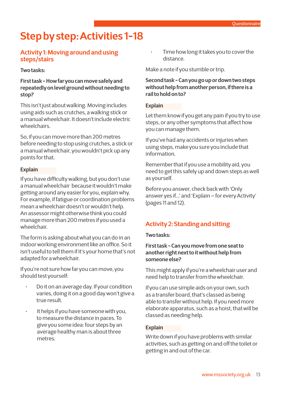## **Step by step: Activities 1-18**

### **Activity 1: Moving around and using steps/stairs**

### **Two tasks:**

**First task - How far you can move safely and repeatedly on level ground without needing to stop?** 

This isn't just about walking. Moving includes using aids such as crutches, a walking stick or a manual wheelchair. It doesn't include electric wheelchairs.

So, if you can move more than 200 metres before needing to stop using crutches, a stick or a manual wheelchair, you wouldn't pick up any points for that.

### **Explain**

If you have difficulty walking, but you don't use a manual wheelchair because it wouldn't make getting around any easier for you, explain why. For example, if fatigue or coordination problems mean a wheelchair doesn't or wouldn't help. An assessor might otherwise think you could manage more than 200 metres if you used a wheelchair.

The form is asking about what you can do in an indoor working environment like an office. So it isn't useful to tell them if it's your home that's not adapted for a wheelchair.

If you're not sure how far you can move, you should test yourself:

- Do it on an average day. If your condition varies, doing it on a good day won't give a true result.
- It helps if you have someone with you, to measure the distance in paces. To give you some idea: four steps by an average healthy man is about three metres.

• Time how long it takes you to cover the distance.

Make a note if you stumble or trip.

### **Second task - Can you go up or down two steps without help from another person, if there is a rail to hold on to?**

### **Explain**

Let them know if you get any pain if you try to use steps, or any other symptoms that affect how you can manage them.

If you've had any accidents or injuries when using steps, make you sure you include that information.

Remember that if you use a mobility aid, you need to get this safely up and down steps as well as yourself.

Before you answer, check back with 'Only answer yes if...' and 'Explain – for every Activity' (pages 11 and 12).

### **Activity 2: Standing and sitting**

### **Two tasks:**

### **First task - Can you move from one seat to another right next to it without help from someone else?**

This might apply if you're a wheelchair user and need help to transfer from the wheelchair.

If you can use simple aids on your own, such as a transfer board, that's classed as being able to transfer without help. If you need more elaborate apparatus, such as a hoist, that will be classed as needing help.

### **Explain**

Write down if you have problems with similar activities, such as getting on and off the toilet or getting in and out of the car.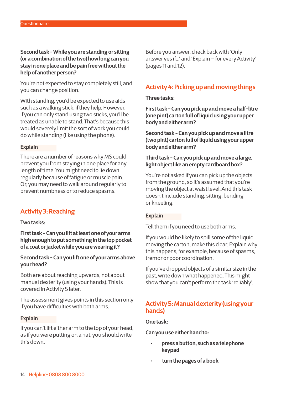**Second task - While you are standing or sitting (or a combination of the two) how long can you stay in one place and be pain free without the help of another person?**

You're not expected to stay completely still, and you can change position.

With standing, you'd be expected to use aids such as a walking stick, if they help. However, if you can only stand using two sticks, you'll be treated as unable to stand. That's because this would severely limit the sort of work you could do while standing (like using the phone).

#### **Explain**

There are a number of reasons why MS could prevent you from staying in one place for any length of time. You might need to lie down regularly because of fatigue or muscle pain. Or, you may need to walk around regularly to prevent numbness or to reduce spasms.

### **Activity 3: Reaching**

#### **Two tasks:**

**First task - Can you lift at least one of your arms high enough to put something in the top pocket of a coat or jacket while you are wearing it?**

**Second task - Can you lift one of your arms above your head?**

Both are about reaching upwards, not about manual dexterity (using your hands). This is covered in Activity 5 later.

The assessment gives points in this section only if you have difficulties with both arms.

#### **Explain**

If you can't lift either arm to the top of your head, as if you were putting on a hat, you should write this down.

Before you answer, check back with 'Only answer yes if...' and 'Explain – for every Activity' (pages 11 and 12).

### **Activity 4: Picking up and moving things**

#### **Three tasks:**

**First task - Can you pick up and move a half-litre (one pint) carton full of liquid using your upper body and either arm?** 

**Second task - Can you pick up and move a litre (two pint) carton full of liquid using your upper body and either arm?** 

### **Third task - Can you pick up and move a large, light object like an empty cardboard box?**

You're not asked if you can pick up the objects from the ground, so it's assumed that you're moving the object at waist level. And this task doesn't include standing, sitting, bending or kneeling.

#### **Explain**

Tell them if you need to use both arms.

If you would be likely to spill some of the liquid moving the carton, make this clear. Explain why this happens, for example, because of spasms, tremor or poor coordination.

If you've dropped objects of a similar size in the past, write down what happened. This might show that you can't perform the task 'reliably'.

### **Activity 5: Manual dexterity (using your hands)**

#### **One task:**

**Can you use either hand to:** 

- **• press a button, such as a telephone keypad**
- **• turn the pages of a book**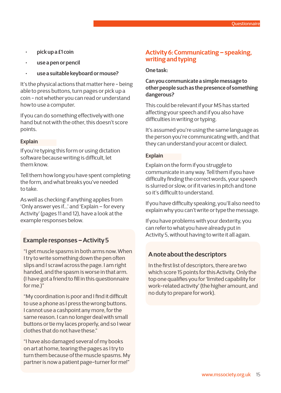- **• pick up a £1 coin**
- **• use a pen or pencil**
- **• use a suitable keyboard or mouse?**

It's the physical actions that matter here - being able to press buttons, turn pages or pick up a coin - not whether you can read or understand how to use a computer.

If you can do something effectively with one hand but not with the other, this doesn't score points.

### **Explain**

If you're typing this form or using dictation software because writing is difficult, let them know.

Tell them how long you have spent completing the form, and what breaks you've needed to take.

As well as checking if anything applies from 'Only answer yes if...' and 'Explain – for every Activity' (pages 11 and 12), have a look at the example responses below.

### **Example responses – Activity 5**

"I get muscle spasms in both arms now. When I try to write something down the pen often slips and I scrawl across the page. I am right handed, and the spasm is worse in that arm. (I have got a friend to fill in this questionnaire for me.)"

"My coordination is poor and I find it difficult to use a phone as I press the wrong buttons. I cannot use a cashpoint any more, for the same reason. I can no longer deal with small buttons or tie my laces properly, and so I wear clothes that do not have these."

"I have also damaged several of my books on art at home, tearing the pages as I try to turn them because of the muscle spasms. My partner is now a patient page-turner for me!"

### **Activity 6: Communicating – speaking, writing and typing**

#### **One task:**

### **Can you communicate a simple message to other people such as the presence of something dangerous?**

This could be relevant if your MS has started affecting your speech and if you also have difficulties in writing or typing.

It's assumed you're using the same language as the person you're communicating with, and that they can understand your accent or dialect.

#### **Explain**

Explain on the form if you struggle to communicate in any way. Tell them if you have difficulty finding the correct words, your speech is slurred or slow, or if it varies in pitch and tone so it's difficult to understand.

If you have difficulty speaking, you'll also need to explain why you can't write or type the message.

If you have problems with your dexterity, you can refer to what you have already put in Activity 5, without having to write it all again.

### **A note about the descriptors**

In the first list of descriptors, there are two which score 15 points for this Activity. Only the top one qualifies you for 'limited capability for work-related activity' (the higher amount, and no duty to prepare for work).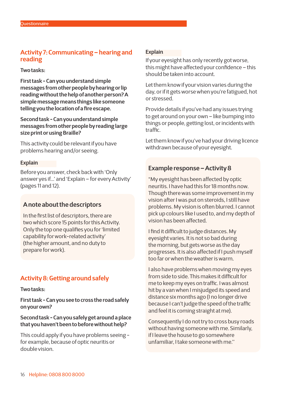### **Activity 7: Communicating – hearing and reading**

#### **Two tasks:**

**First task - Can you understand simple messages from other people by hearing or lip reading without the help of another person? A simple message means things like someone telling you the location of a fire escape.**

**Second task - Can you understand simple messages from other people by reading large size print or using Braille?**

This activity could be relevant if you have problems hearing and/or seeing.

### **Explain**

Before you answer, check back with 'Only answer yes if...' and 'Explain – for every Activity' (pages 11 and 12).

### **A note about the descriptors**

In the first list of descriptors, there are two which score 15 points for this Activity. Only the top one qualifies you for 'limited capability for work-related activity' (the higher amount, and no duty to prepare for work).

### **Activity 8: Getting around safely**

**Two tasks:** 

**First task - Can you see to cross the road safely on your own?** 

### **Second task - Can you safely get around a place that you haven't been to before without help?**

This could apply if you have problems seeing for example, because of optic neuritis or double vision.

### **Explain**

If your eyesight has only recently got worse, this might have affected your confidence – this should be taken into account.

Let them know if your vision varies during the day, or if it gets worse when you're fatigued, hot or stressed.

Provide details if you've had any issues trying to get around on your own – like bumping into things or people, getting lost, or incidents with traffic.

Let them know if you've had your driving licence withdrawn because of your eyesight.

### **Example response – Activity 8**

"My eyesight has been affected by optic neuritis. I have had this for 18 months now. Though there was some improvement in my vision after I was put on steroids, I still have problems. My vision is often blurred. I cannot pick up colours like I used to, and my depth of vision has been affected.

I find it difficult to judge distances. My eyesight varies. It is not so bad during the morning, but gets worse as the day progresses. It is also affected if I push myself too far or when the weather is warm.

I also have problems when moving my eyes from side to side. This makes it difficult for me to keep my eyes on traffic. I was almost hit by a van when I misjudged its speed and distance six months ago (I no longer drive because I can't judge the speed of the traffic and feel it is coming straight at me).

Consequently I do not try to cross busy roads without having someone with me. Similarly, if I leave the house to go somewhere unfamiliar, I take someone with me.''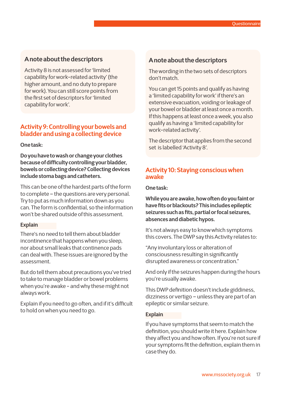### **A note about the descriptors**

Activity 8 is not assessed for 'limited capability for work-related activity' (the higher amount, and no duty to prepare for work). You can still score points from the first set of descriptors for 'limited capability for work'.

### **Activity 9: Controlling your bowels and bladder and using a collecting device**

#### **One task:**

**Do you have to wash or change your clothes because of difficulty controlling your bladder, bowels or collecting device? Collecting devices include stoma bags and catheters.**

This can be one of the hardest parts of the form to complete – the questions are very personal. Try to put as much information down as you can. The form is confidential, so the information won't be shared outside of this assessment.

#### **Explain**

There's no need to tell them about bladder incontinence that happens when you sleep, nor about small leaks that continence pads can deal with. These issues are ignored by the assessment.

But do tell them about precautions you've tried to take to manage bladder or bowel problems when you're awake - and why these might not always work.

Explain if you need to go often, and if it's difficult to hold on when you need to go.

### **A note about the descriptors**

The wording in the two sets of descriptors don't match.

You can get 15 points and qualify as having a 'limited capability for work' if there's an extensive evacuation, voiding or leakage of your bowel or bladder at least once a month. If this happens at least once a week, you also qualify as having a 'limited capability for work-related activity'.

The descriptor that applies from the second set is labelled 'Activity 8'.

### **Activity 10: Staying conscious when awake**

**One task:** 

**While you are awake, how often do you faint or have fits or blackouts? This includes epileptic seizures such as fits, partial or focal seizures, absences and diabetic hypos.**

It's not always easy to know which symptoms this covers. The DWP say this Activity relates to:

"Any involuntary loss or alteration of consciousness resulting in significantly disrupted awareness or concentration."

And only if the seizures happen during the hours you're usually awake.

This DWP definition doesn't include giddiness, dizziness or vertigo – unless they are part of an epileptic or similar seizure.

#### **Explain**

If you have symptoms that seem to match the definition, you should write it here. Explain how they affect you and how often. If you're not sure if your symptoms fit the definition, explain them in case they do.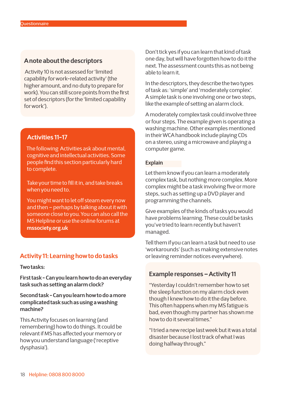### **A note about the descriptors**

 Activity 10 is not assessed for 'limited capability for work-related activity' (the higher amount, and no duty to prepare for work). You can still score points from the first set of descriptors (for the 'limited capability for work').

### **Activities 11-17**

The following Activities ask about mental, cognitive and intellectual activities. Some people find this section particularly hard to complete.

Take your time to fill it in, and take breaks when you need to.

You might want to let off steam every now and then – perhaps by talking about it with someone close to you. You can also call the MS Helpline or use the online forums at **[mssociety.org.uk](https://www.community.mssociety.org.uk)**

### **Activity 11: Learning how to do tasks**

**Two tasks:**

**First task - Can you learn how to do an everyday task such as setting an alarm clock?**

### **Second task - Can you learn how to do a more complicated task such as using a washing machine?**

This Activity focuses on learning (and remembering) how to do things. It could be relevant if MS has affected your memory or how you understand language ('receptive dysphasia').

Don't tick yes if you can learn that kind of task one day, but will have forgotten how to do it the next. The assessment counts this as not being able to learn it.

In the descriptors, they describe the two types of task as: 'simple' and 'moderately complex'. A simple task is one involving one or two steps, like the example of setting an alarm clock.

A moderately complex task could involve three or four steps. The example given is operating a washing machine. Other examples mentioned in their WCA handbook include playing CDs on a stereo, using a microwave and playing a computer game.

#### **Explain**

Let them know if you can learn a moderately complex task, but nothing more complex. More complex might be a task involving five or more steps, such as setting up a DVD player and programming the channels.

Give examples of the kinds of tasks you would have problems learning. These could be tasks you've tried to learn recently but haven't managed.

Tell them if you can learn a task but need to use 'workarounds' (such as making extensive notes or leaving reminder notices everywhere).

### **Example responses – Activity 11**

"Yesterday I couldn't remember how to set the sleep function on my alarm clock even though I knew how to do it the day before. This often happens when my MS fatigue is bad, even though my partner has shown me how to do it several times."

"I tried a new recipe last week but it was a total disaster because I lost track of what I was doing halfway through."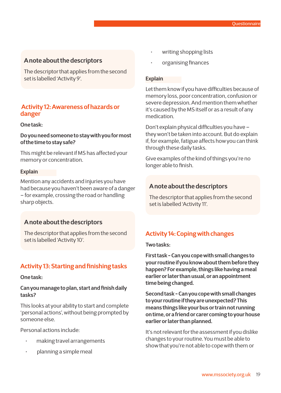### **A note about the descriptors**

The descriptor that applies from the second set is labelled 'Activity 9'.

### **Activity 12: Awareness of hazards or danger**

### **One task:**

### **Do you need someone to stay with you for most of the time to stay safe?**

This might be relevant if MS has affected your memory or concentration.

#### **Explain**

Mention any accidents and injuries you have had because you haven't been aware of a danger – for example, crossing the road or handling sharp objects.

### **A note about the descriptors**

The descriptor that applies from the second set is labelled 'Activity 10'.

### **Activity 13: Starting and finishing tasks**

#### **One task:**

### **Can you manage to plan, start and finish daily tasks?**

This looks at your ability to start and complete 'personal actions', without being prompted by someone else.

Personal actions include:

- making travel arrangements
- planning a simple meal
- writing shopping lists
- organising finances

#### **Explain**

Let them know if you have difficulties because of memory loss, poor concentration, confusion or severe depression. And mention them whether it's caused by the MS itself or as a result of any medication.

Don't explain physical difficulties you have – they won't be taken into account. But do explain if, for example, fatigue affects how you can think through these daily tasks.

Give examples of the kind of things you're no longer able to finish.

### **A note about the descriptors**

The descriptor that applies from the second set is labelled 'Activity 11'.

### **Activity 14: Coping with changes**

#### **Two tasks:**

**First task - Can you cope with small changes to your routine if you know about them before they happen? For example, things like having a meal earlier or later than usual, or an appointment time being changed.** 

**Second task - Can you cope with small changes to your routine if they are unexpected? This means things like your bus or train not running on time, or a friend or carer coming to your house earlier or later than planned.**

It's not relevant for the assessment if you dislike changes to your routine. You must be able to show that you're not able to cope with them or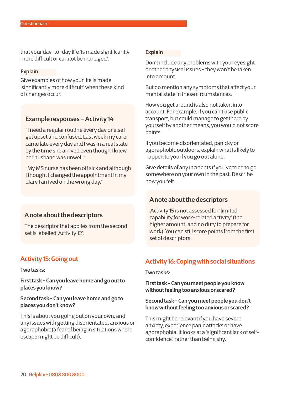that your day-to-day life 'is made significantly more difficult or cannot be managed'.

#### **Explain**

Give examples of how your life is made 'significantly more difficult' when these kind of changes occur.

### **Example responses – Activity 14**

"I need a regular routine every day or else I get upset and confused. Last week my carer came late every day and I was in a real state by the time she arrived even though I knew her husband was unwell."

"My MS nurse has been off sick and although I thought I changed the appointment in my diary I arrived on the wrong day."

### **A note about the descriptors**

The descriptor that applies from the second set is labelled 'Activity 12'.

### **Activity 15: Going out**

#### **Two tasks:**

**First task - Can you leave home and go out to places you know?** 

### **Second task - Can you leave home and go to places you don't know?**

This is about you going out on your own, and any issues with getting disorientated, anxious or agoraphobic (a fear of being in situations where escape might be difficult).

#### **Explain**

Don't include any problems with your eyesight or other physical issues - they won't be taken into account.

But do mention any symptoms that affect your mental state in these circumstances.

How you get around is also not taken into account. For example, if you can't use public transport, but could manage to get there by yourself by another means, you would not score points.

If you become disorientated, panicky or agoraphobic outdoors, explain what is likely to happen to you if you go out alone.

Give details of any incidents if you've tried to go somewhere on your own in the past. Describe how you felt.

### **A note about the descriptors**

 Activity 15 is not assessed for 'limited capability for work-related activity' (the higher amount, and no duty to prepare for work). You can still score points from the first set of descriptors.

### **Activity 16: Coping with social situations**

#### **Two tasks:**

**First task - Can you meet people you know without feeling too anxious or scared?** 

#### **Second task - Can you meet people you don't know without feeling too anxious or scared?**

This might be relevant if you have severe anxiety, experience panic attacks or have agoraphobia. It looks at a 'significant lack of selfconfidence', rather than being shy.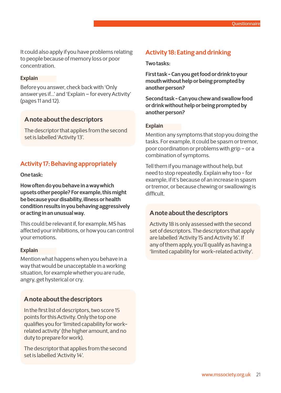It could also apply if you have problems relating to people because of memory loss or poor concentration.

#### **Explain**

Before you answer, check back with 'Only answer yes if...' and 'Explain – for every Activity' (pages 11 and 12).

### **A note about the descriptors**

The descriptor that applies from the second set is labelled 'Activity 13'.

### **Activity 17: Behaving appropriately**

**One task:** 

**How often do you behave in a way which upsets other people? For example, this might be because your disability, illness or health condition results in you behaving aggressively or acting in an unusual way.**

This could be relevant if, for example, MS has affected your inhibitions, or how you can control your emotions.

#### **Explain**

Mention what happens when you behave in a way that would be unacceptable in a working situation, for example whether you are rude, angry, get hysterical or cry.

### **A note about the descriptors**

In the first list of descriptors, two score 15 points for this Activity. Only the top one qualifies you for 'limited capability for workrelated activity' (the higher amount, and no duty to prepare for work).

The descriptor that applies from the second set is labelled 'Activity 14'.

### **Activity 18: Eating and drinking**

#### **Two tasks:**

**First task - Can you get food or drink to your mouth without help or being prompted by another person?** 

**Second task - Can you chew and swallow food or drink without help or being prompted by another person?**

#### **Explain**

Mention any symptoms that stop you doing the tasks. For example, it could be spasm or tremor, poor coordination or problems with grip – or a combination of symptoms.

Tell them if you manage without help, but need to stop repeatedly. Explain why too - for example, if it's because of an increase in spasm or tremor, or because chewing or swallowing is difficult.

### **A note about the descriptors**

Activity 18 is only assessed with the second set of descriptors. The descriptors that apply are labelled 'Activity 15 and Activity 16'. If any of them apply, you'll qualify as having a 'limited capability for work-related activity'.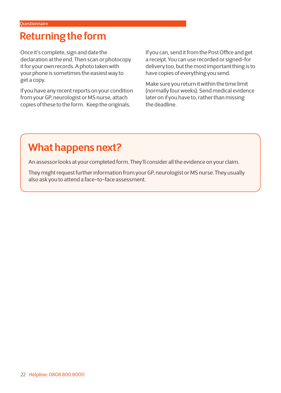### **Returning the form**

Once it's complete, sign and date the declaration at the end. Then scan or photocopy it for your own records. A photo taken with your phone is sometimes the easiest way to get a copy.

If you have any recent reports on your condition from your GP, neurologist or MS nurse, attach copies of these to the form. Keep the originals.

If you can, send it from the Post Office and get a receipt. You can use recorded or signed-for delivery too, but the most important thing is to have copies of everything you send.

Make sure you return it within the time limit (normally four weeks). Send medical evidence later on if you have to, rather than missing the deadline.

### **What happens next?**

An assessor looks at your completed form. They'll consider all the evidence on your claim.

They might request further information from your GP, neurologist or MS nurse. They usually also ask you to attend a face-to-face assessment.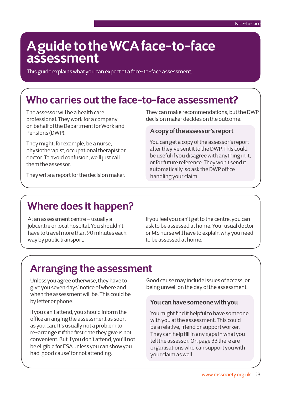## **A guide to the WCA face-to-face assessment**

This guide explains what you can expect at a face-to-face assessment.

### **Who carries out the face-to-face assessment?**

The assessor will be a health care professional. They work for a company on behalf of the Department for Work and Pensions (DWP).

They might, for example, be a nurse, physiotherapist, occupational therapist or doctor. To avoid confusion, we'll just call them the assessor.

They write a report for the decision maker.

They can make recommendations, but the DWP decision maker decides on the outcome.

### **A copy of the assessor's report**

You can get a copy of the assessor's report after they've sent it to the DWP. This could be useful if you disagree with anything in it, or for future reference. They won't send it automatically, so ask the DWP office handling your claim.

### **Where does it happen?**

At an assessment centre – usually a jobcentre or local hospital. You shouldn't have to travel more than 90 minutes each way by public transport.

If you feel you can't get to the centre, you can ask to be assessed at home. Your usual doctor or MS nurse will have to explain why you need to be assessed at home.

### **Arranging the assessment**

Unless you agree otherwise, they have to give you seven days' notice of where and when the assessment will be. This could be by letter or phone.

If you can't attend, you should inform the office arranging the assessment as soon as you can. It's usually not a problem to re-arrange it if the first date they give is not convenient. But if you don't attend, you'll not be eligible for ESA unless you can show you had 'good cause' for not attending.

Good cause may include issues of access, or being unwell on the day of the assessment.

### **You can have someone with you**

You might find it helpful to have someone with you at the assessment. This could be a relative, friend or support worker. They can help fill in any gaps in what you tell the assessor. On page 33 there are organisations who can support you with your claim as well.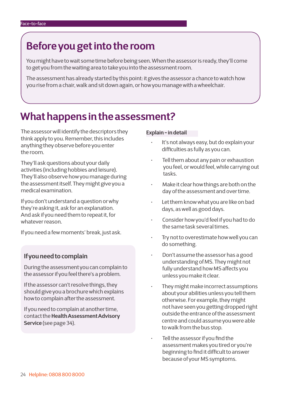### **Before you get into the room**

You might have to wait some time before being seen. When the assessor is ready, they'll come to get you from the waiting area to take you into the assessment room.

The assessment has already started by this point: it gives the assessor a chance to watch how you rise from a chair, walk and sit down again, or how you manage with a wheelchair.

### **What happens in the assessment?**

The assessor will identify the descriptors they think apply to you. Remember, this includes anything they observe before you enter the room.

They'll ask questions about your daily activities (including hobbies and leisure). They'll also observe how you manage during the assessment itself. They might give you a medical examination.

If you don't understand a question or why they're asking it, ask for an explanation. And ask if you need them to repeat it, for whatever reason.

If you need a few moments' break, just ask.

### **If you need to complain**

During the assessment you can complain to the assessor if you feel there's a problem.

If the assessor can't resolve things, they should give you a brochure which explains how to complain after the assessment.

If you need to complain at another time, contact the **[Health Assessment Advisory](https://www.chdauk.co.uk)  [Service](https://www.chdauk.co.uk)** (see page 34).

### **Explain - in detail**

- It's not always easy, but do explain your difficulties as fully as you can.
- Tell them about any pain or exhaustion you feel, or would feel, while carrying out tasks.
- Make it clear how things are both on the day of the assessment and over time.
- Let them know what you are like on bad days, as well as good days.
- Consider how you'd feel if you had to do the same task several times.
- Try not to overestimate how well you can do something.
- Don't assume the assessor has a good understanding of MS. They might not fully understand how MS affects you unless you make it clear.
- They might make incorrect assumptions about your abilities unless you tell them otherwise. For example, they might not have seen you getting dropped right outside the entrance of the assessment centre and could assume you were able to walk from the bus stop.
- Tell the assessor if you find the assessment makes you tired or you're beginning to find it difficult to answer because of your MS symptoms.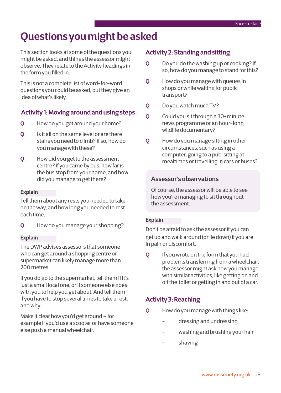### **Questions you might be asked**

This section looks at some of the questions you might be asked, and things the assessor might observe. They relate to the Activity headings in the form you filled in.

This is not a complete list of word-for-word questions you could be asked, but they give an idea of what's likely.

### **Activity 1: Moving around and using steps**

- **Q** How do you get around your home?
- **Q** Is it all on the same level or are there stairs you need to climb? If so, how do you manage with these?
- **Q** How did you get to the assessment centre? If you came by bus, how far is the bus stop from your home, and how did you manage to get there?

### **Explain**

Tell them about any rests you needed to take on the way, and how long you needed to rest each time.

**Q** How do you manage your shopping?

### **Explain**

The DWP advises assessors that someone who can get around a shopping centre or supermarket can likely manage more than 200 metres.

If you do go to the supermarket, tell them if it's just a small local one, or if someone else goes with you to help you get about. And tell them if you have to stop several times to take a rest, and why.

Make it clear how you'd get around – for example if you'd use a scooter or have someone else push a manual wheelchair.

### **Activity 2: Standing and sitting**

- **Q** Do you do the washing up or cooking? If so, how do you manage to stand for this?
- **Q** How do you manage with queues in shops or while waiting for public transport?
- **Q** Do you watch much TV?
- **Q** Could you sit through a 30-minute news programme or an hour-long wildlife documentary?
- **Q** How do you manage sitting in other circumstances, such as using a computer, going to a pub, sitting at mealtimes or travelling in cars or buses?

### **Assessor's observations**

Of course, the assessor will be able to see how you're managing to sit throughout the assessment.

### **Explain**

Don't be afraid to ask the assessor if you can get up and walk around (or lie down) if you are in pain or discomfort.

**Q** If you wrote on the form that you had problems transferring from a wheelchair, the assessor might ask how you manage with similar activities, like getting on and off the toilet or getting in and out of a car.

### **Activity 3: Reaching**

- **Q** How do you manage with things like:
	- dressing and undressing
	- washing and brushing your hair
	- shaving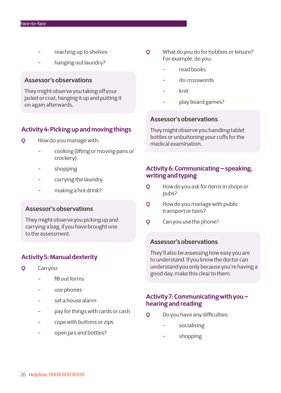- reaching up to shelves
- hanging out laundry?

### **Assessor's observations**

They might observe you taking off your jacket or coat, hanging it up and putting it on again afterwards.

### **Activity 4: Picking up and moving things**

- **Q** How do you manage with:
	- cooking (lifting or moving pans or crockery)
	- shopping
	- carrying the laundry
	- making a hot drink?

### **Assessor's observations**

They might observe you picking up and carrying a bag, if you have brought one to the assessment.

### **Activity 5: Manual dexterity**

- **Q** Can you:
	- fill out forms
	- use phones
	- set a house alarm
	- pay for things with cards or cash
	- cope with buttons or zips
	- open jars and bottles?
- **Q** What do you do for hobbies or leisure? For example, do you:
	- read books
	- do crosswords
	- knit
	- play board games?

### **Assessor's observations**

They might observe you handling tablet bottles or unbuttoning your cuffs for the medical examination.

### **Activity 6: Communicating – speaking, writing and typing**

- **Q** How do you ask for items in shops or pubs?
- **Q** How do you manage with public transport or taxis?
- **Q** Can you use the phone?

### **Assessor's observations**

They'll also be assessing how easy you are to understand. If you know the doctor can understand you only because you're having a good day, make this clear to them.

### **Activity 7: Communicating with you – hearing and reading**

- **Q** Do you have any difficulties:
	- socialising
	- shopping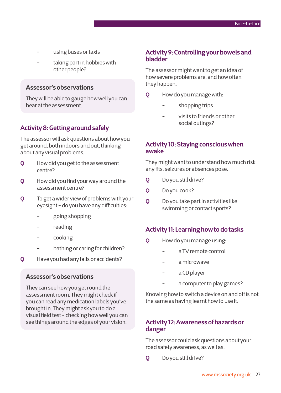- using buses or taxis
- taking part in hobbies with other people?

### **Assessor's observations**

They will be able to gauge how well you can hear at the assessment.

### **Activity 8: Getting around safely**

The assessor will ask questions about how you get around, both indoors and out, thinking about any visual problems.

- **Q** How did you get to the assessment centre?
- **Q** How did you find your way around the assessment centre?
- **Q** To get a wider view of problems with your eyesight - do you have any difficulties:
	- going shopping
	- reading
	- cooking
	- bathing or caring for children?
- **Q** Have you had any falls or accidents?

### **Assessor's observations**

They can see how you get round the assessment room. They might check if you can read any medication labels you've brought in. They might ask you to do a visual field test - checking how well you can see things around the edges of your vision.

### **Activity 9: Controlling your bowels and bladder**

The assessor might want to get an idea of how severe problems are, and how often they happen.

- **Q** How do you manage with:
	- shopping trips
	- visits to friends or other social outings?

### **Activity 10: Staying conscious when awake**

They might want to understand how much risk any fits, seizures or absences pose.

- **Q** Do you still drive?
- **Q** Do you cook?
- **Q** Do you take part in activities like swimming or contact sports?

### **Activity 11: Learning how to do tasks**

- **Q** How do you manage using:
	- a TV remote control
	- a microwave
	- a CD player
	- a computer to play games?

Knowing how to switch a device on and off is not the same as having learnt how to use it.

### **Activity 12: Awareness of hazards or danger**

The assessor could ask questions about your road safety awareness, as well as:

**Q** Do you still drive?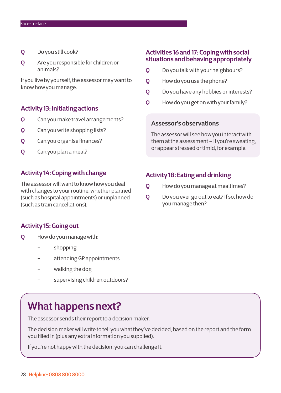- **Q** Do you still cook?
- **Q** Are you responsible for children or animals?

If you live by yourself, the assessor may want to know how you manage.

### **Activity 13: Initiating actions**

- **Q** Can you make travel arrangements?
- **Q** Can you write shopping lists?
- **Q** Can you organise finances?
- **Q** Can you plan a meal?

### **Activity 14: Coping with change**

The assessor will want to know how you deal with changes to your routine, whether planned (such as hospital appointments) or unplanned (such as train cancellations).

### **Activity 15: Going out**

- **Q** How do you manage with:
	- shopping
	- attending GP appointments
	- walking the dog
	- supervising children outdoors?

### **What happens next?**

The assessor sends their report to a decision maker.

The decision maker will write to tell you what they've decided, based on the report and the form you filled in (plus any extra information you supplied).

If you're not happy with the decision, you can challenge it.

### **Activities 16 and 17: Coping with social situations and behaving appropriately**

- **Q** Do you talk with your neighbours?
- **Q** How do you use the phone?
- **Q** Do you have any hobbies or interests?
- **Q** How do you get on with your family?

#### **Assessor's observations**

The assessor will see how you interact with them at the assessment – if you're sweating, or appear stressed or timid, for example.

### **Activity 18: Eating and drinking**

- **Q** How do you manage at mealtimes?
- **Q** Do you ever go out to eat? If so, how do you manage then?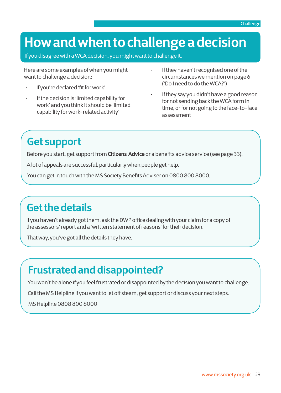## **How and when to challenge a decision**

If you disagree with a WCA decision, you might want to challenge it.

Here are some examples of when you might want to challenge a decision:

- If you're declared 'fit for work'
- If the decision is 'limited capability for work' and you think it should be 'limited capability for work-related activity'
- If they haven't recognised one of the circumstances we mention on page 6 ('Do I need to do the WCA?')
- If they say you didn't have a good reason for not sending back the WCA form in time, or for not going to the face-to-face assessment

## **Get support**

Before you start, get support from **[Citizens Advice](https://www.citizensadvice.org.uk)** or a benefits advice service (see page 33).

A lot of appeals are successful, particularly when people get help.

You can get in touch with the MS Society Benefits Adviser on 0800 800 8000.

## **Get the details**

If you haven't already got them, ask the DWP office dealing with your claim for a copy of the assessors' report and a 'written statement of reasons' for their decision.

That way, you've got all the details they have.

## **Frustrated and disappointed?**

You won't be alone if you feel frustrated or disappointed by the decision you want to challenge.

Call the MS Helpline if you want to let off steam, get support or discuss your next steps.

MS Helpline 0808 800 8000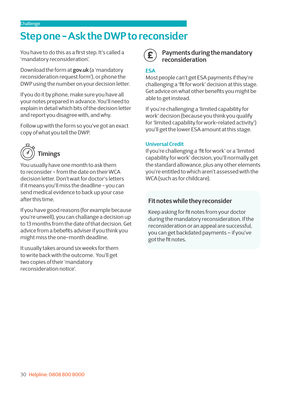### **Step one - Ask the DWP to reconsider**

You have to do this as a first step. It's called a 'mandatory reconsideration'.

Download the form at **[gov.uk](http://gov.uk)** (a 'mandatory reconsideration request form'), or phone the DWP using the number on your decision letter.

If you do it by phone, make sure you have all your notes prepared in advance. You'll need to explain in detail which bits of the decision letter and report you disagree with, and why.

Follow up with the form so you've got an exact copy of what you tell the DWP.



You usually have one month to ask them to reconsider - from the date on their WCA decision letter. Don't wait for doctor's letters if it means you'll miss the deadline - you can send medical evidence to back up your case after this time.

If you have good reasons (for example because you're unwell), you can challange a decision up to 13 months from the date of that decision. Get advice from a bebefits adviser if you think you might miss the one-month deadline.

It usually takes around six weeks for them to write back with the outcome. You'll get two copies of their 'mandatory reconsideration notice'.

### **Payments during the mandatory reconsideration**

### **ESA**

Most people can't get ESA payments if they're challenging a 'fit for work' decision at this stage. Get advice on what other benefits you might be able to get instead.

If you're challenging a 'limited capability for work' decision (because you think you qualify for 'limited capability for work-related activity') you'll get the lower ESA amount at this stage.

### **Universal Credit**

If you're challenging a 'fit for work' or a 'limited capability for work' decision, you'll normally get the standard allowance, plus any other elements you're entitled to which aren't assessed with the WCA (such as for childcare).

### **Fit notes while they reconsider**

 Keep asking for fit notes from your doctor during the mandatory reconsideration. If the reconsideration or an appeal are successful, you can get backdated payments – if you've got the fit notes.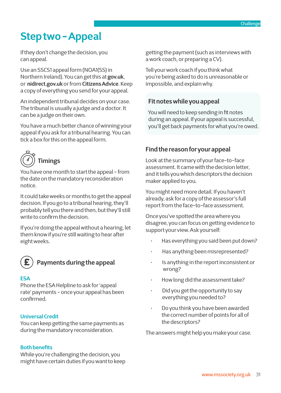## **Step two - Appeal**

If they don't change the decision, you can appeal.

Use an SSCS1 appeal form (NOA1(SS) in Northern Ireland). You can get this at **[gov.uk](http://gov.uk)**, or **[nidirect.gov.uk](https://www.nidirect.gov.uk/)** or from **[Citizens Advice](https://www.citizensadvice.org.uk/)**. Keep a copy of everything you send for your appeal.

An independent tribunal decides on your case. The tribunal is usually a judge and a doctor. It can be a judge on their own.

You have a much better chance of winning your appeal if you ask for a tribunal hearing. You can tick a box for this on the appeal form.



You have one month to start the appeal - from the date on the mandatory reconsideration notice.

It could take weeks or months to get the appeal decision. If you go to a tribunal hearing, they'll probably tell you there and then, but they'll still write to confirm the decision.

If you're doing the appeal without a hearing, let them know if you're still waiting to hear after eight weeks.



### **Payments during the appeal**

### **ESA**

Phone the ESA Helpline to ask for 'appeal rate' payments - once your appeal has been confirmed.

### **Universal Credit**

You can keep getting the same payments as during the mandatory reconsideration.

### **Both benefits**

While you're challenging the decision, you might have certain duties if you want to keep getting the payment (such as interviews with a work coach, or preparing a CV).

Tell your work coach if you think what you're being asked to do is unreasonable or impossible, and explain why.

### **Fit notes while you appeal**

 You will need to keep sending in fit notes during an appeal. If your appeal is successful, you'll get back payments for what you're owed.

### **Find the reason for your appeal**

Look at the summary of your face-to-face assessment. It came with the decision letter, and it tells you which descriptors the decision maker applied to you.

You might need more detail. If you haven't already, ask for a copy of the assessor's full report from the face-to-face assessment.

Once you've spotted the area where you disagree, you can focus on getting evidence to support your view. Ask yourself:

- Has everything you said been put down?
- Has anything been misrepresented?
- Is anything in the report inconsistent or wrong?
- How long did the assessment take?
- Did you get the opportunity to say everything you needed to?
- Do you think you have been awarded the correct number of points for all of the descriptors?

The answers might help you make your case.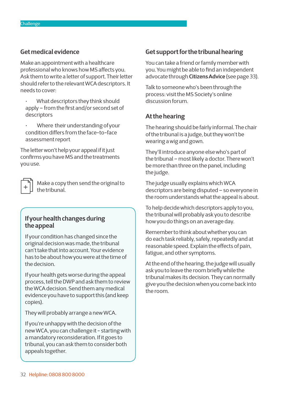### **Get medical evidence**

Make an appointment with a healthcare professional who knows how MS affects you. Ask them to write a letter of support. Their letter should refer to the relevant WCA descriptors. It needs to cover:

- What descriptors they think should apply – from the first and/or second set of descriptors
- Where their understanding of your condition differs from the face-to-face assessment report

The letter won't help your appeal if it just confirms you have MS and the treatments you use.

 Make a copy then send the original to the tribunal.

### **If your health changes during the appeal**

If your condition has changed since the original decision was made, the tribunal can't take that into account. Your evidence has to be about how you were at the time of the decision.

If your health gets worse during the appeal process, tell the DWP and ask them to review the WCA decision. Send them any medical evidence you have to support this (and keep copies).

They will probably arrange a new WCA.

If you're unhappy with the decision of the new WCA, you can challenge it - starting with a mandatory reconsideration. If it goes to tribunal, you can ask them to consider both appeals together.

### **Get support for the tribunal hearing**

You can take a friend or family member with you. You might be able to find an independent advocate through **[Citizens Advice](https://www.citizensadvice.org.uk/)** (see page 33).

Talk to someone who's been through the process: visit the MS Society's online discussion forum.

### **At the hearing**

The hearing should be fairly informal. The chair of the tribunal is a judge, but they won't be wearing a wig and gown.

They'll introduce anyone else who's part of the tribunal – most likely a doctor. There won't be more than three on the panel, including the judge.

The judge usually explains which WCA descriptors are being disputed – so everyone in the room understands what the appeal is about.

To help decide which descriptors apply to you, the tribunal will probably ask you to describe how you do things on an average day.

Remember to think about whether you can do each task reliably, safely, repeatedly and at reasonable speed. Explain the effects of pain, fatigue, and other symptoms.

At the end of the hearing, the judge will usually ask you to leave the room briefly while the tribunal makes its decision. They can normally give you the decision when you come back into the room.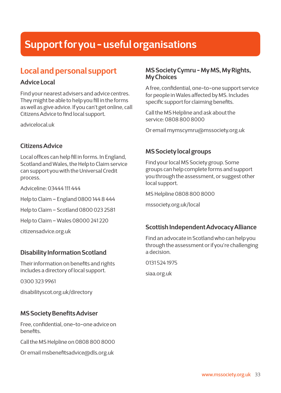## **Support for you - useful organisations**

### **Local and personal support**

### **Advice Local**

Find your nearest advisers and advice centres. They might be able to help you fill in the forms as well as give advice. If you can't get online, call Citizens Advice to find local support.

[advicelocal.uk](http://advicelocal.uk) 

### **Citizens Advice**

Local offices can help fill in forms. In England, Scotland and Wales, the Help to Claim service can support you with the Universal Credit process.

Adviceline: 03444 111 444

Help to Claim – England 0800 144 8 444

Help to Claim – Scotland 0800 023 2581

Help to Claim – Wales 08000 241 220

[citizensadvice.org.uk](https://www.citizensadvice.org.uk)

### **Disability Information Scotland**

Their information on benefits and rights includes a directory of local support.

0300 323 9961

[disabilityscot.org.uk/directory](http://disabilityscot.org.uk/directory)

### **MS Society Benefits Adviser**

Free, confidential, one-to-one advice on benefits.

Call the MS Helpline on 0808 800 8000

Or email [msbenefitsadvice@dls.org.uk](mailto:msbenefitsadvice%40dls.org.uk?subject=Benefits%20query)

### **MS Society Cymru - My MS, My Rights, My Choices**

A free, confidential, one-to-one support service for people in Wales affected by MS. Includes specific support for claiming benefits.

Call the MS Helpline and ask about the service: 0808 800 8000

Or email [mymscymru@mssociety.org.uk](mailto:mymscymru%40mssociety.org.uk?subject=)

### **MS Society local groups**

Find your local MS Society group. Some groups can help complete forms and support you through the assessment, or suggest other local support.

MS Helpline 0808 800 8000

[mssociety.org.uk/local](https://www.mssociety.org.uk/local)

### **Scottish Independent Advocacy Alliance**

Find an advocate in Scotland who can help you through the assessment or if you're challenging a decision.

0131 524 1975

[siaa.org.uk](http://siaa.org.uk)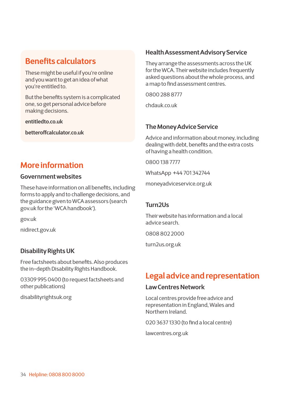### **Benefits calculators**

These might be useful if you're online and you want to get an idea of what you're entitled to.

But the benefits system is a complicated one, so get personal advice before making decisions.

**[entitledto.co.uk](http://entitledto.co.uk)**

**[betteroffcalculator.co.uk](http://betteroffcalculator.co.uk)**

### **More information**

### **Government websites**

These have information on all benefits, including forms to apply and to challenge decisions, and the guidance given to WCA assessors (search gov.uk for the 'WCA handbook').

[gov.uk](https://www.gov.uk)

[nidirect.gov.uk](http://nidirect.gov.uk)

### **Disability Rights UK**

Free factsheets about benefits. Also produces the in-depth Disability Rights Handbook.

03309 995 0400 (to request factsheets and other publications)

[disabilityrightsuk.org](http://disabilityrightsuk.org)

### **Health Assessment Advisory Service**

They arrange the assessments across the UK for the WCA. Their website includes frequently asked questions about the whole process, and a map to find assessment centres.

0800 288 8777

[chdauk.co.uk](http://chdauk.co.uk)

### **The Money Advice Service**

Advice and information about money, including dealing with debt, benefits and the extra costs of having a health condition.

0800 138 7777

WhatsApp +44 701 342744

[moneyadviceservice.org.uk](http://moneyadviceservice.org.uk)

### **Turn2Us**

Their website has information and a local advice search.

0808 802 2000

[turn2us.org.uk](http://turn2us.org.uk)

### **Legal advice and representation**

### **Law Centres Network**

Local centres provide free advice and representation in England, Wales and Northern Ireland.

020 3637 1330 (to find a local centre)

[lawcentres.org.uk](http://lawcentres.org.uk)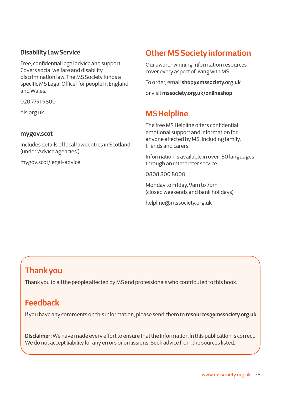### **Disability Law Service**

Free, confidential legal advice and support. Covers social welfare and disability discrimination law. The MS Society funds a specific MS Legal Officer for people in England and Wales.

020 7791 9800

[dls.org.uk](http://dls.org.uk)

### **mygov.scot**

Includes details of local law centres in Scotland (under 'Advice agencies').

[mygov.scot/legal-advice](http://mygov.scot/legal-advice)

### **Other MS Society information**

Our award-winning information resources cover every aspect of living with MS.

To order, email **[shop@mssociety.org.uk](mailto:shop%40mssociety.org.uk%20?subject=Publication%20order)** 

or visit **[mssociety.org.uk/onlineshop](https://www.mssociety.org.uk/onlineshop )** 

### **MS Helpline**

The free MS Helpline offers confidential emotional support and information for anyone affected by MS, including family, friends and carers.

Information is available in over 150 languages through an interpreter service.

0808 800 8000

Monday to Friday, 9am to 7pm (closed weekends and bank holidays)

[helpline@mssociety.org.uk](mailto:helpline%40mssociety.org.uk?subject=)

### **Thank you**

Thank you to all the people affected by MS and professionals who contributed to this book.

### **Feedback**

If you have any comments on this information, please send them to **[resources@mssociety.org.uk](mailto:resources%40mssociety.org.uk%20?subject=Feedback)**

**Disclaimer:** We have made every effort to ensure that the information in this publication is correct. We do not accept liability for any errors or omissions. Seek advice from the sources listed.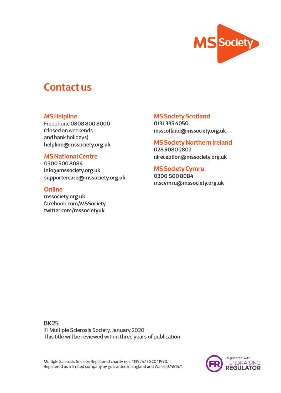

### **Contact us**

### **MS Helpline**

Freephone **0808 800 8000** (closed on weekends and bank holidays) **[helpline@mssociety.org.uk](mailto:helpline%40mssociety.org.uk?subject=enquiry)**

### **MS National Centre**

**0300 500 8084 [info@mssociety.org.uk](mailto:info%40mssociety.org.uk?subject=enquiry) [supportercare@mssociety.org.uk](mailto:supportercare%40mssociety.org.uk?subject=enquiry)**

### **Online**

**[mssociety.org.uk](https://www.mssociety.org.uk)  [facebook.com/MSSociety](http://facebook.com/MSSociety) [twitter.com/mssocietyuk](http://twitter.com/mssocietyuk)**

### **MS Society Scotland**

**0131 335 4050 [msscotland@mssociety.org.uk](mailto:msscotland%40mssociety.org.uk%20?subject=enquiry)** 

**MS Society Northern Ireland 028 9080 2802 [nireception@mssociety.org.uk](mailto:nireception%40mssociety.org.uk%20?subject=enquiry)** 

**MS Society Cymru 0300 500 8084 [mscymru@mssociety.org.uk](mailto:mscymru%40mssociety.org.uk%20%20?subject=enquiry)** 

**BK25** © Multiple Sclerosis Society, January 2020 This title will be reviewed within three years of publication

Multiple Sclerosis Society. Registered charity nos. 1139257 / SC041990. Registered as a limited company by guarantee in England and Wales 07451571.

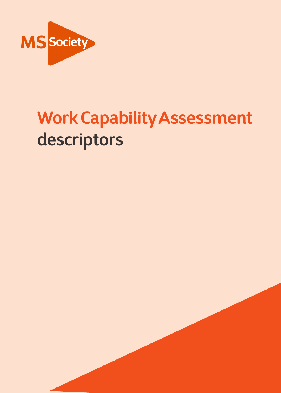

# **Work Capability Assessment descriptors**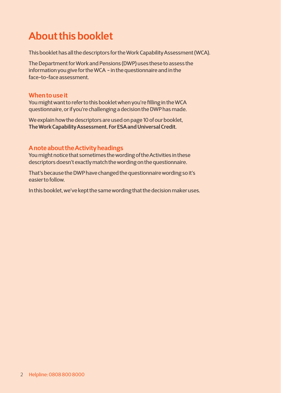## **About this booklet**

This booklet has all the descriptors for the Work Capability Assessment (WCA).

The Department for Work and Pensions (DWP) uses these to assess the information you give for the WCA - in the questionnaire and in the face-to-face assessment.

### **When to use it**

You might want to refer to this booklet when you're filling in the WCA questionnaire, or if you're challenging a decision the DWP has made.

We explain how the descriptors are used on page 10 of our booklet, **The Work Capability Assessment. For ESA and Universal Credit**.

### **A note about the Activity headings**

You might notice that sometimes the wording of the Activities in these descriptors doesn't exactly match the wording on the questionnaire.

That's because the DWP have changed the questionnaire wording so it's easier to follow.

In this booklet, we've kept the same wording that the decision maker uses.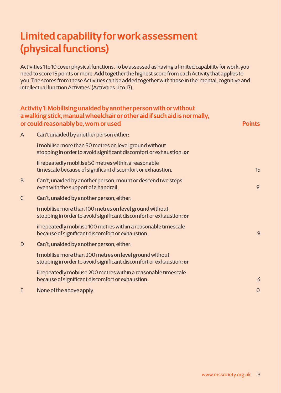## **Limited capability for work assessment (physical functions)**

Activities 1 to 10 cover physical functions. To be assessed as having a limited capability for work, you need to score 15 points or more. Add together the highest score from each Activity that applies to you. The scores from these Activities can be added together with those in the 'mental, cognitive and intellectual function Activities' (Activities 11 to 17).

|             | Activity 1: Mobilising unaided by another person with or without<br>a walking stick, manual wheelchair or other aid if such aid is normally,<br>or could reasonably be, worn or used | <b>Points</b>  |
|-------------|--------------------------------------------------------------------------------------------------------------------------------------------------------------------------------------|----------------|
| A           | Can't unaided by another person either:                                                                                                                                              |                |
|             | i mobilise more than 50 metres on level ground without<br>stopping in order to avoid significant discomfort or exhaustion; or                                                        |                |
|             | ii repeatedly mobilise 50 metres within a reasonable<br>timescale because of significant discomfort or exhaustion.                                                                   | 15             |
| B           | Can't, unaided by another person, mount or descend two steps<br>even with the support of a handrail.                                                                                 | 9              |
| $\mathsf C$ | Can't, unaided by another person, either:                                                                                                                                            |                |
|             | i mobilise more than 100 metres on level ground without<br>stopping in order to avoid significant discomfort or exhaustion; or                                                       |                |
|             | ii repeatedly mobilise 100 metres within a reasonable timescale<br>because of significant discomfort or exhaustion.                                                                  | 9              |
| D           | Can't, unaided by another person, either:                                                                                                                                            |                |
|             | i mobilise more than 200 metres on level ground without<br>stopping in order to avoid significant discomfort or exhaustion; or                                                       |                |
|             | ii repeatedly mobilise 200 metres within a reasonable timescale<br>because of significant discomfort or exhaustion.                                                                  | 6              |
| E           | None of the above apply.                                                                                                                                                             | $\overline{0}$ |
|             |                                                                                                                                                                                      |                |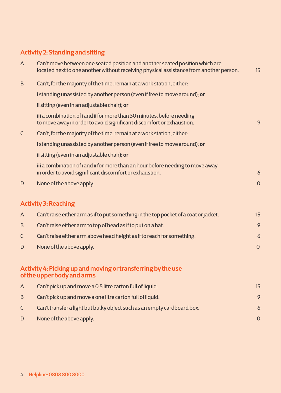### **Activity 2: Standing and sitting**

| A            | Can't move between one seated position and another seated position which are<br>located next to one another without receiving physical assistance from another person. | 15             |
|--------------|------------------------------------------------------------------------------------------------------------------------------------------------------------------------|----------------|
| B            | Can't, for the majority of the time, remain at a work station, either:                                                                                                 |                |
|              | i standing unassisted by another person (even if free to move around); or                                                                                              |                |
|              | ii sitting (even in an adjustable chair); or                                                                                                                           |                |
|              | iii a combination of i and ii for more than 30 minutes, before needing<br>to move away in order to avoid significant discomfort or exhaustion.                         | 9              |
| $\mathsf{C}$ | Can't, for the majority of the time, remain at a work station, either:                                                                                                 |                |
|              | i standing unassisted by another person (even if free to move around); or                                                                                              |                |
|              | ii sitting (even in an adjustable chair); or                                                                                                                           |                |
|              | iii a combination of i and ii for more than an hour before needing to move away<br>in order to avoid significant discomfort or exhaustion.                             | 6              |
| D            | None of the above apply.                                                                                                                                               | $\overline{0}$ |
|              | <b>Activity 3: Reaching</b>                                                                                                                                            |                |
| A            | Can't raise either arm as if to put something in the top pocket of a coat or jacket.                                                                                   | 15             |
| B            | Can't raise either arm to top of head as if to put on a hat.                                                                                                           | 9              |
| $\mathsf C$  | Can't raise either arm above head height as if to reach for something.                                                                                                 | 6              |
| D            | None of the above apply.                                                                                                                                               | $\mathbf 0$    |
|              | Activity 4: Picking up and moving or transferring by the use<br>of the upper body and arms                                                                             |                |
| $\mathsf{A}$ | Can't pick up and move a 0.5 litre carton full of liquid.                                                                                                              | 15             |
| B            | Can't pick up and move a one litre carton full of liquid.                                                                                                              | 9              |
| C            | Can't transfer a light but bulky object such as an empty cardboard box.                                                                                                | 6              |
| D            | None of the above apply.                                                                                                                                               | $\overline{0}$ |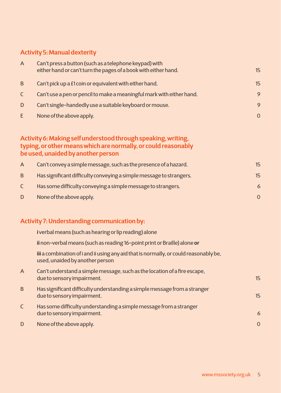### **Activity 5: Manual dexterity**

| $\overline{A}$ | Can't press a button (such as a telephone keypad) with<br>either hand or can't turn the pages of a book with either hand. | 15       |
|----------------|---------------------------------------------------------------------------------------------------------------------------|----------|
| B              | Can't pick up a £1 coin or equivalent with either hand.                                                                   | 15       |
| $\mathsf{C}$   | Can't use a pen or pencil to make a meaningful mark with either hand.                                                     | 9        |
| D              | Can't single-handedly use a suitable keyboard or mouse.                                                                   | 9        |
| E              | None of the above apply.                                                                                                  | $\Omega$ |

### **Activity 6: Making self understood through speaking, writing, typing, or other means which are normally, or could reasonably be used, unaided by another person**

| A | Can't convey a simple message, such as the presence of a hazard.    | 15       |
|---|---------------------------------------------------------------------|----------|
| B | Has significant difficulty conveying a simple message to strangers. | 15       |
|   | Has some difficulty conveying a simple message to strangers.        | 6        |
| D | None of the above apply.                                            | $\Omega$ |

### **Activity 7: Understanding communication by:**

|                         | i verbal means (such as hearing or lip reading) alone                                                                    |                |
|-------------------------|--------------------------------------------------------------------------------------------------------------------------|----------------|
|                         | ii non-verbal means (such as reading 16-point print or Braille) alone or                                                 |                |
|                         | iii a combination of i and ii using any aid that is normally, or could reasonably be,<br>used, unaided by another person |                |
| A                       | Can't understand a simple message, such as the location of a fire escape,<br>due to sensory impairment.                  | 15             |
| B.                      | Has significant difficulty understanding a simple message from a stranger<br>due to sensory impairment.                  | 15             |
| $\overline{\mathsf{C}}$ | Has some difficulty understanding a simple message from a stranger<br>due to sensory impairment.                         | 6              |
| D                       | None of the above apply.                                                                                                 | $\overline{O}$ |
|                         |                                                                                                                          |                |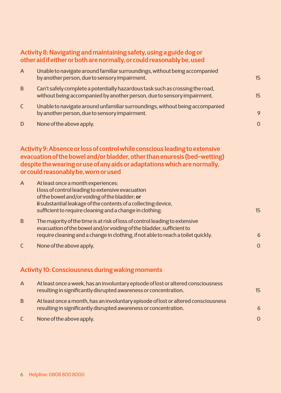### **Activity 8: Navigating and maintaining safety, using a guide dog or other aid if either or both are normally, or could reasonably be, used**

| A            | Unable to navigate around familiar surroundings, without being accompanied<br>by another person, due to sensory impairment.                              | 15       |
|--------------|----------------------------------------------------------------------------------------------------------------------------------------------------------|----------|
| B            | Can't safely complete a potentially hazardous task such as crossing the road,<br>without being accompanied by another person, due to sensory impairment. | 15       |
| $\mathsf{C}$ | Unable to navigate around unfamiliar surroundings, without being accompanied<br>by another person, due to sensory impairment.                            | 9        |
| D            | None of the above apply.                                                                                                                                 | $\Omega$ |

### **Activity 9: Absence or loss of control while conscious leading to extensive evacuation of the bowel and/or bladder, other than enuresis (bed-wetting) despite the wearing or use of any aids or adaptations which are normally, or could reasonably be, worn or used**

| $\mathsf{A}$ | At least once a month experiences:<br>i loss of control leading to extensive evacuation<br>of the bowel and/or voiding of the bladder; or<br>ii substantial leakage of the contents of a collecting device,<br>sufficient to require cleaning and a change in clothing. | 15             |
|--------------|-------------------------------------------------------------------------------------------------------------------------------------------------------------------------------------------------------------------------------------------------------------------------|----------------|
| B            | The majority of the time is at risk of loss of control leading to extensive<br>evacuation of the bowel and/or voiding of the bladder, sufficient to<br>require cleaning and a change in clothing, if not able to reach a toilet quickly.                                | 6              |
|              | None of the above apply.                                                                                                                                                                                                                                                | $\overline{0}$ |

### **Activity 10: Consciousness during waking moments**

| $\overline{A}$ | At least once a week, has an involuntary episode of lost or altered consciousness<br>resulting in significantly disrupted awareness or concentration.  | 15       |
|----------------|--------------------------------------------------------------------------------------------------------------------------------------------------------|----------|
| B              | At least once a month, has an involuntary episode of lost or altered consciousness<br>resulting in significantly disrupted awareness or concentration. | 6        |
| $\mathsf{C}$   | None of the above apply.                                                                                                                               | $\Omega$ |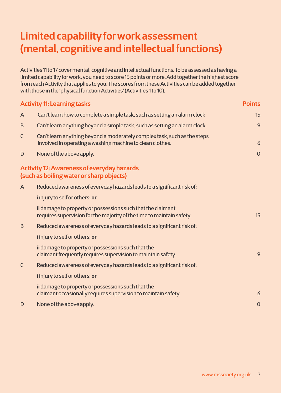### **Limited capability for work assessment (mental, cognitive and intellectual functions)**

Activities 11 to 17 cover mental, cognitive and intellectual functions. To be assessed as having a limited capability for work, you need to score 15 points or more. Add together the highest score from each Activity that applies to you. The scores from these Activities can be added together with those in the 'physical function Activities' (Activities 1 to 10).

|              | <b>Activity 11: Learning tasks</b>                                                                                                    | <b>Points</b>  |
|--------------|---------------------------------------------------------------------------------------------------------------------------------------|----------------|
| A            | Can't learn how to complete a simple task, such as setting an alarm clock                                                             | 15             |
| B            | Can't learn anything beyond a simple task, such as setting an alarm clock.                                                            | 9              |
| $\mathsf C$  | Can't learn anything beyond a moderately complex task, such as the steps<br>involved in operating a washing machine to clean clothes. | 6              |
| D            | None of the above apply.                                                                                                              | $\overline{O}$ |
|              | <b>Activity 12: Awareness of everyday hazards</b><br>(such as boiling water or sharp objects)                                         |                |
| A            | Reduced awareness of everyday hazards leads to a significant risk of:                                                                 |                |
|              | i injury to self or others; or                                                                                                        |                |
|              | ii damage to property or possessions such that the claimant<br>requires supervision for the majority of the time to maintain safety.  | 15             |
| B            | Reduced awareness of everyday hazards leads to a significant risk of:                                                                 |                |
|              | <i>i</i> injury to self or others; or                                                                                                 |                |
|              | ii damage to property or possessions such that the<br>claimant frequently requires supervision to maintain safety.                    | 9              |
| $\mathsf{C}$ | Reduced awareness of everyday hazards leads to a significant risk of:                                                                 |                |
|              | <i>i</i> injury to self or others; or                                                                                                 |                |
|              | ii damage to property or possessions such that the<br>claimant occasionally requires supervision to maintain safety.                  | 6              |
| D            | None of the above apply.                                                                                                              | $\overline{0}$ |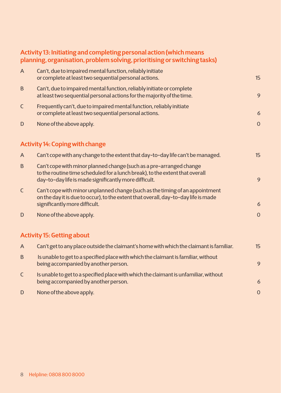|              | Activity 13: Initiating and completing personal action (which means<br>planning, organisation, problem solving, prioritising or switching tasks)                                                             |                |
|--------------|--------------------------------------------------------------------------------------------------------------------------------------------------------------------------------------------------------------|----------------|
| $\mathsf{A}$ | Can't, due to impaired mental function, reliably initiate<br>or complete at least two sequential personal actions.                                                                                           | 15             |
| $\mathsf B$  | Can't, due to impaired mental function, reliably initiate or complete<br>at least two sequential personal actions for the majority of the time.                                                              | 9              |
| $\mathsf{C}$ | Frequently can't, due to impaired mental function, reliably initiate<br>or complete at least two sequential personal actions.                                                                                | 6              |
| D            | None of the above apply.                                                                                                                                                                                     | $\overline{O}$ |
|              | <b>Activity 14: Coping with change</b>                                                                                                                                                                       |                |
| $\mathsf{A}$ | Can't cope with any change to the extent that day-to-day life can't be managed.                                                                                                                              | 15             |
| B            | Can't cope with minor planned change (such as a pre-arranged change<br>to the routine time scheduled for a lunch break), to the extent that overall<br>day-to-day life is made significantly more difficult. | 9              |
| $\mathsf{C}$ | Can't cope with minor unplanned change (such as the timing of an appointment<br>on the day it is due to occur), to the extent that overall, day-to-day life is made<br>significantly more difficult.         | 6              |
| D            | None of the above apply.                                                                                                                                                                                     | $\overline{0}$ |
|              | <b>Activity 15: Getting about</b>                                                                                                                                                                            |                |
| $\mathsf{A}$ | Can't get to any place outside the claimant's home with which the claimant is familiar.                                                                                                                      | 15             |
| B            | Is unable to get to a specified place with which the claimant is familiar, without<br>being accompanied by another person.                                                                                   | 9              |
| $\mathsf{C}$ | Is unable to get to a specified place with which the claimant is unfamiliar, without<br>being accompanied by another person.                                                                                 | 6              |
| D            | None of the above apply.                                                                                                                                                                                     | $\overline{O}$ |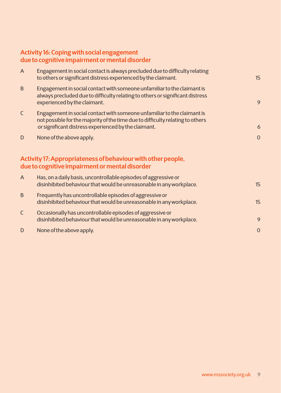### **Activity 16: Coping with social engagement due to cognitive impairment or mental disorder**

| $\mathsf{A}$ | Engagement in social contact is always precluded due to difficulty relating<br>to others or significant distress experienced by the claimant.                                                                     | 15             |
|--------------|-------------------------------------------------------------------------------------------------------------------------------------------------------------------------------------------------------------------|----------------|
| B            | Engagement in social contact with someone unfamiliar to the claimant is<br>always precluded due to difficulty relating to others or significant distress<br>experienced by the claimant.                          | 9              |
| $\mathsf{C}$ | Engagement in social contact with someone unfamiliar to the claimant is<br>not possible for the majority of the time due to difficulty relating to others<br>or significant distress experienced by the claimant. | 6              |
| D            | None of the above apply.                                                                                                                                                                                          | $\overline{O}$ |
|              | Activity 17: Appropriateness of behaviour with other people,<br>due to cognitive impairment or mental disorder                                                                                                    |                |
| $\mathsf{A}$ | Has, on a daily basis, uncontrollable episodes of aggressive or<br>disinhibited behaviour that would be unreasonable in any workplace.                                                                            | 15             |
| B            | Frequently has uncontrollable episodes of aggressive or<br>disinhibited behaviour that would be unreasonable in any workplace.                                                                                    | 15             |
| $\mathsf C$  | Occasionally has uncontrollable episodes of aggressive or<br>disinhibited behaviour that would be unreasonable in any workplace.                                                                                  | 9              |
| D            | None of the above apply.                                                                                                                                                                                          | $\overline{0}$ |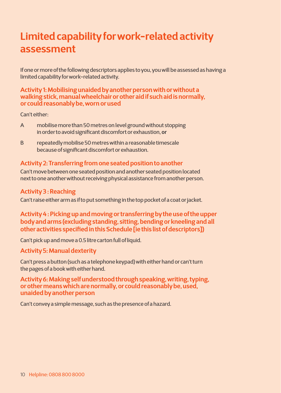## **Limited capability for work-related activity assessment**

If one or more of the following descriptors applies to you, you will be assessed as having a limited capability for work-related activity.

### **Activity 1: Mobilising unaided by another person with or without a walking stick, manual wheelchair or other aid if such aid is normally, or could reasonably be, worn or used**

Can't either:

- A mobilise more than 50 metres on level ground without stopping in order to avoid significant discomfort or exhaustion, **or**
- B repeatedly mobilise 50 metres within a reasonable timescale because of significant discomfort or exhaustion.

### **Activity 2: Transferring from one seated position to another**

Can't move between one seated position and another seated position located next to one another without receiving physical assistance from another person.

### **Activity 3 : Reaching**

Can't raise either arm as if to put something in the top pocket of a coat or jacket.

**Activity 4 : Picking up and moving or transferring by the use of the upper body and arms (excluding standing, sitting, bending or kneeling and all other activities specified in this Schedule [ie this list of descriptors])** 

Can't pick up and move a 0.5 litre carton full of liquid.

### **Activity 5: Manual dexterity**

Can't press a button (such as a telephone keypad) with either hand or can't turn the pages of a book with either hand.

**Activity 6: Making self understood through speaking, writing, typing, or other means which are normally, or could reasonably be, used, unaided by another person**

Can't convey a simple message, such as the presence of a hazard.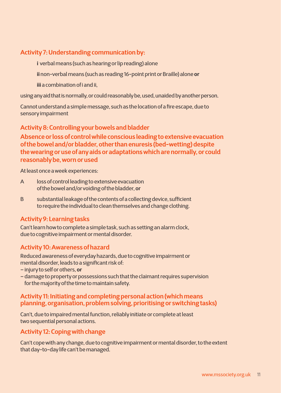### **Activity 7: Understanding communication by:**

**i** verbal means (such as hearing or lip reading) alone

**ii** non-verbal means (such as reading 16-point print or Braille) alone **or**

**iii** a combination of i and ii,

using any aid that is normally, or could reasonably be, used, unaided by another person.

Cannot understand a simple message, such as the location of a fire escape, due to sensory impairment

**Activity 8: Controlling your bowels and bladder** 

**Absence or loss of control while conscious leading to extensive evacuation of the bowel and/or bladder, other than enuresis (bed-wetting) despite the wearing or use of any aids or adaptations which are normally, or could reasonably be, worn or used** 

At least once a week experiences:

- A loss of control leading to extensive evacuation of the bowel and/or voiding of the bladder, **or**
- B substantial leakage of the contents of a collecting device, sufficient to require the individual to clean themselves and change clothing.

### **Activity 9: Learning tasks**

Can't learn how to complete a simple task, such as setting an alarm clock, due to cognitive impairment or mental disorder.

### **Activity 10: Awareness of hazard**

Reduced awareness of everyday hazards, due to cognitive impairment or mental disorder, leads to a significant risk of:

- injury to self or others, **or**
- damage to property or possessions such that the claimant requires supervision for the majority of the time to maintain safety.

### **Activity 11: Initiating and completing personal action (which means planning, organisation, problem solving, prioritising or switching tasks)**

Can't, due to impaired mental function, reliably initiate or complete at least two sequential personal actions.

### **Activity 12: Coping with change**

Can't cope with any change, due to cognitive impairment or mental disorder, to the extent that day-to-day life can't be managed.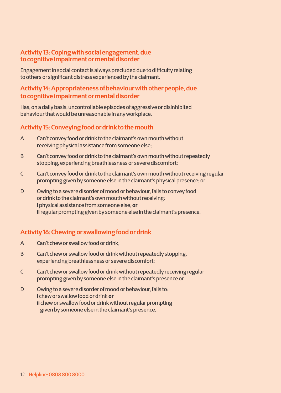### **Activity 13: Coping with social engagement, due to cognitive impairment or mental disorder**

Engagement in social contact is always precluded due to difficulty relating to others or significant distress experienced by the claimant.

### **Activity 14: Appropriateness of behaviour with other people, due to cognitive impairment or mental disorder**

Has, on a daily basis, uncontrollable episodes of aggressive or disinhibited behaviour that would be unreasonable in any workplace.

### **Activity 15:Conveying food or drink to the mouth**

- A Can't convey food or drink to the claimant's own mouth without receiving physical assistance from someone else;
- B Can't convey food or drink to the claimant's own mouth without repeatedly stopping, experiencing breathlessness or severe discomfort;
- C Can't convey food or drink to the claimant's own mouth without receiving regular prompting given by someone else in the claimant's physical presence; or
- D Owing to a severe disorder of mood or behaviour, fails to convey food or drink to the claimant's own mouth without receiving: **i** physical assistance from someone else; **or ii** regular prompting given by someone else in the claimant's presence.

### **Activity 16:Chewing or swallowing food or drink**

- A Can't chew or swallow food or drink;
- B Can't chew or swallow food or drink without repeatedly stopping, experiencing breathlessness or severe discomfort;
- C Can't chew or swallow food or drink without repeatedly receiving regular prompting given by someone else in the claimant's presence or
- D Owing to a severe disorder of mood or behaviour, fails to: **i** chew or swallow food or drink **or ii** chew or swallow food or drink without regular prompting given by someone else in the claimant's presence.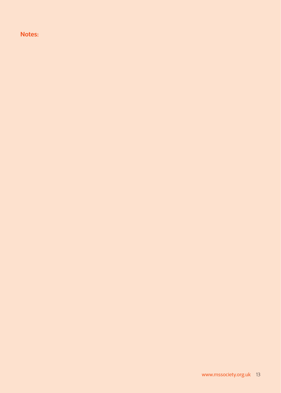### **Notes:**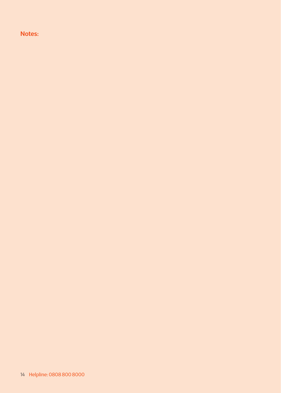**Notes:**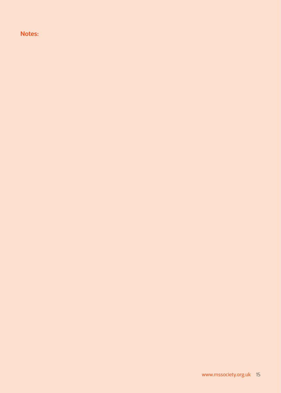**Notes:**